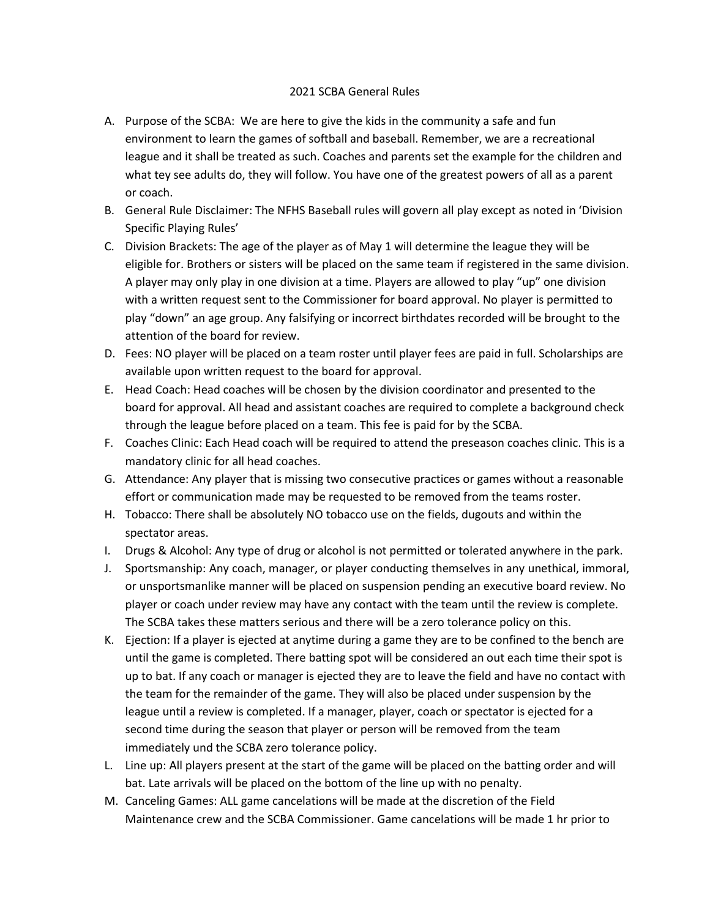## 2021 SCBA General Rules

- A. Purpose of the SCBA: We are here to give the kids in the community a safe and fun environment to learn the games of softball and baseball. Remember, we are a recreational league and it shall be treated as such. Coaches and parents set the example for the children and what tey see adults do, they will follow. You have one of the greatest powers of all as a parent or coach.
- B. General Rule Disclaimer: The NFHS Baseball rules will govern all play except as noted in 'Division Specific Playing Rules'
- C. Division Brackets: The age of the player as of May 1 will determine the league they will be eligible for. Brothers or sisters will be placed on the same team if registered in the same division. A player may only play in one division at a time. Players are allowed to play "up" one division with a written request sent to the Commissioner for board approval. No player is permitted to play "down" an age group. Any falsifying or incorrect birthdates recorded will be brought to the attention of the board for review.
- D. Fees: NO player will be placed on a team roster until player fees are paid in full. Scholarships are available upon written request to the board for approval.
- E. Head Coach: Head coaches will be chosen by the division coordinator and presented to the board for approval. All head and assistant coaches are required to complete a background check through the league before placed on a team. This fee is paid for by the SCBA.
- F. Coaches Clinic: Each Head coach will be required to attend the preseason coaches clinic. This is a mandatory clinic for all head coaches.
- G. Attendance: Any player that is missing two consecutive practices or games without a reasonable effort or communication made may be requested to be removed from the teams roster.
- H. Tobacco: There shall be absolutely NO tobacco use on the fields, dugouts and within the spectator areas.
- I. Drugs & Alcohol: Any type of drug or alcohol is not permitted or tolerated anywhere in the park.
- J. Sportsmanship: Any coach, manager, or player conducting themselves in any unethical, immoral, or unsportsmanlike manner will be placed on suspension pending an executive board review. No player or coach under review may have any contact with the team until the review is complete. The SCBA takes these matters serious and there will be a zero tolerance policy on this.
- K. Ejection: If a player is ejected at anytime during a game they are to be confined to the bench are until the game is completed. There batting spot will be considered an out each time their spot is up to bat. If any coach or manager is ejected they are to leave the field and have no contact with the team for the remainder of the game. They will also be placed under suspension by the league until a review is completed. If a manager, player, coach or spectator is ejected for a second time during the season that player or person will be removed from the team immediately und the SCBA zero tolerance policy.
- L. Line up: All players present at the start of the game will be placed on the batting order and will bat. Late arrivals will be placed on the bottom of the line up with no penalty.
- M. Canceling Games: ALL game cancelations will be made at the discretion of the Field Maintenance crew and the SCBA Commissioner. Game cancelations will be made 1 hr prior to